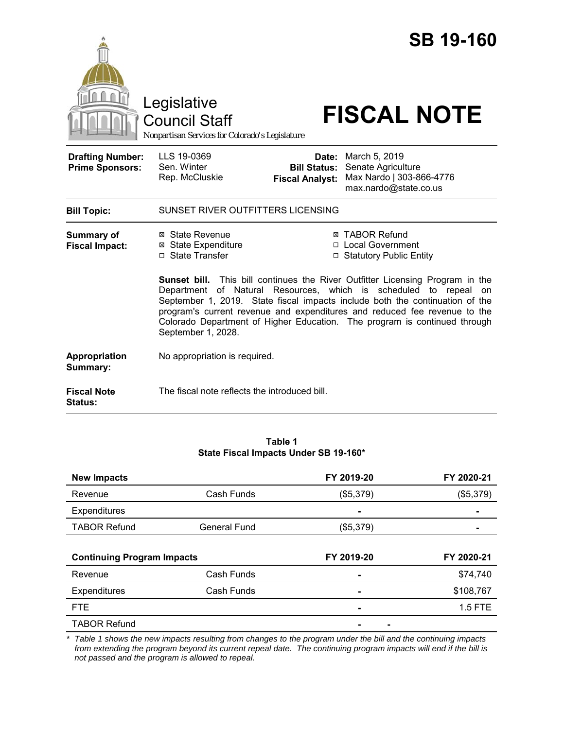|                                                   |                                                                                                                                                                                                                                                                                                                                                                                                                             |                                                        | <b>SB 19-160</b>                                                                         |  |
|---------------------------------------------------|-----------------------------------------------------------------------------------------------------------------------------------------------------------------------------------------------------------------------------------------------------------------------------------------------------------------------------------------------------------------------------------------------------------------------------|--------------------------------------------------------|------------------------------------------------------------------------------------------|--|
|                                                   | Legislative<br>Council Staff<br>Nonpartisan Services for Colorado's Legislature                                                                                                                                                                                                                                                                                                                                             |                                                        | <b>FISCAL NOTE</b>                                                                       |  |
| <b>Drafting Number:</b><br><b>Prime Sponsors:</b> | LLS 19-0369<br>Sen. Winter<br>Rep. McCluskie                                                                                                                                                                                                                                                                                                                                                                                | Date:<br><b>Bill Status:</b><br><b>Fiscal Analyst:</b> | March 5, 2019<br>Senate Agriculture<br>Max Nardo   303-866-4776<br>max.nardo@state.co.us |  |
| <b>Bill Topic:</b>                                | SUNSET RIVER OUTFITTERS LICENSING                                                                                                                                                                                                                                                                                                                                                                                           |                                                        |                                                                                          |  |
| Summary of<br><b>Fiscal Impact:</b>               | ⊠ State Revenue<br><b>⊠</b> State Expenditure<br>$\Box$ State Transfer                                                                                                                                                                                                                                                                                                                                                      |                                                        | <b>⊠ TABOR Refund</b><br>□ Local Government<br>□ Statutory Public Entity                 |  |
|                                                   | <b>Sunset bill.</b> This bill continues the River Outfitter Licensing Program in the<br>Department of Natural Resources, which is scheduled to repeal<br>on<br>September 1, 2019. State fiscal impacts include both the continuation of the<br>program's current revenue and expenditures and reduced fee revenue to the<br>Colorado Department of Higher Education. The program is continued through<br>September 1, 2028. |                                                        |                                                                                          |  |
| Appropriation<br>Summary:                         | No appropriation is required.                                                                                                                                                                                                                                                                                                                                                                                               |                                                        |                                                                                          |  |
| <b>Fiscal Note</b><br><b>Status:</b>              | The fiscal note reflects the introduced bill.                                                                                                                                                                                                                                                                                                                                                                               |                                                        |                                                                                          |  |

#### **Table 1 State Fiscal Impacts Under SB 19-160\***

| <b>New Impacts</b>                |                     | FY 2019-20 | FY 2020-21 |
|-----------------------------------|---------------------|------------|------------|
| Revenue                           | Cash Funds          | (\$5,379)  | (\$5,379)  |
| Expenditures                      |                     |            |            |
| <b>TABOR Refund</b>               | <b>General Fund</b> | (\$5,379)  |            |
|                                   |                     |            |            |
|                                   |                     |            |            |
| <b>Continuing Program Impacts</b> |                     | FY 2019-20 | FY 2020-21 |
| Revenue                           | Cash Funds          |            | \$74,740   |
| Expenditures                      | Cash Funds          |            | \$108,767  |
| <b>FTE</b>                        |                     |            | 1.5 FTE    |

*\* Table 1 shows the new impacts resulting from changes to the program under the bill and the continuing impacts from extending the program beyond its current repeal date. The continuing program impacts will end if the bill is not passed and the program is allowed to repeal.*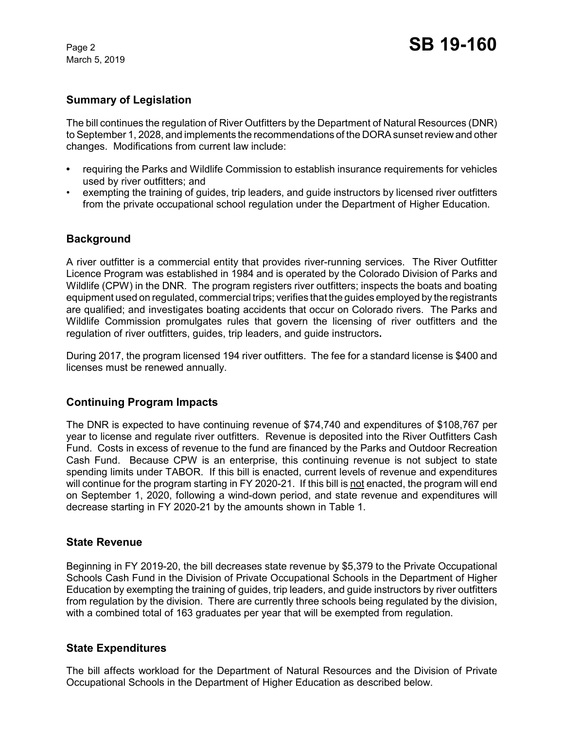March 5, 2019

## **Summary of Legislation**

The bill continues the regulation of River Outfitters by the Department of Natural Resources (DNR) to September 1, 2028, and implements the recommendations of the DORA sunset review and other changes. Modifications from current law include:

- **•** requiring the Parks and Wildlife Commission to establish insurance requirements for vehicles used by river outfitters; and
- exempting the training of guides, trip leaders, and guide instructors by licensed river outfitters from the private occupational school regulation under the Department of Higher Education.

# **Background**

A river outfitter is a commercial entity that provides river-running services. The River Outfitter Licence Program was established in 1984 and is operated by the Colorado Division of Parks and Wildlife (CPW) in the DNR. The program registers river outfitters; inspects the boats and boating equipment used on regulated, commercial trips; verifies that the guides employed by the registrants are qualified; and investigates boating accidents that occur on Colorado rivers. The Parks and Wildlife Commission promulgates rules that govern the licensing of river outfitters and the regulation of river outfitters, guides, trip leaders, and guide instructors**.** 

During 2017, the program licensed 194 river outfitters. The fee for a standard license is \$400 and licenses must be renewed annually.

### **Continuing Program Impacts**

The DNR is expected to have continuing revenue of \$74,740 and expenditures of \$108,767 per year to license and regulate river outfitters. Revenue is deposited into the River Outfitters Cash Fund. Costs in excess of revenue to the fund are financed by the Parks and Outdoor Recreation Cash Fund. Because CPW is an enterprise, this continuing revenue is not subject to state spending limits under TABOR. If this bill is enacted, current levels of revenue and expenditures will continue for the program starting in FY 2020-21. If this bill is not enacted, the program will end on September 1, 2020, following a wind-down period, and state revenue and expenditures will decrease starting in FY 2020-21 by the amounts shown in Table 1.

### **State Revenue**

Beginning in FY 2019-20, the bill decreases state revenue by \$5,379 to the Private Occupational Schools Cash Fund in the Division of Private Occupational Schools in the Department of Higher Education by exempting the training of guides, trip leaders, and guide instructors by river outfitters from regulation by the division. There are currently three schools being regulated by the division, with a combined total of 163 graduates per year that will be exempted from regulation.

### **State Expenditures**

The bill affects workload for the Department of Natural Resources and the Division of Private Occupational Schools in the Department of Higher Education as described below.